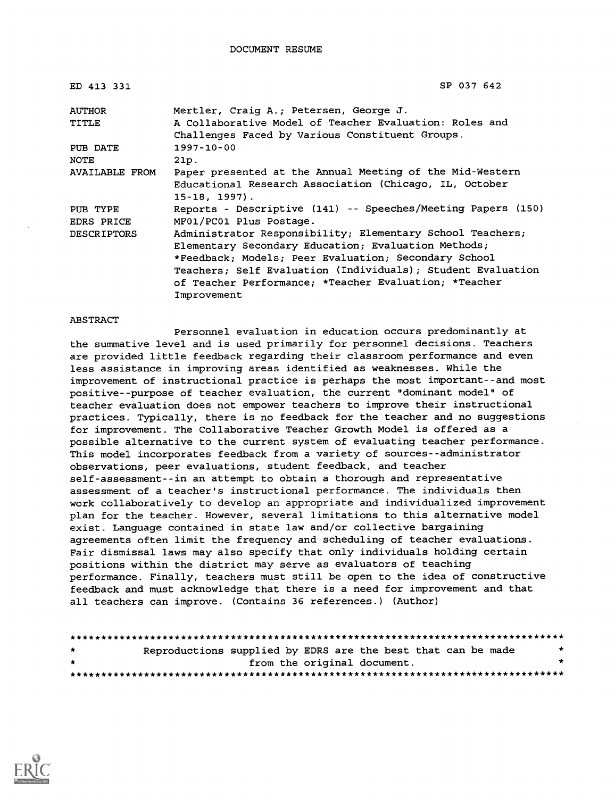| ED 413 331            | SP 037 642                                                                                                |
|-----------------------|-----------------------------------------------------------------------------------------------------------|
| <b>AUTHOR</b>         | Mertler, Craig A.; Petersen, George J.                                                                    |
| TITLE                 | A Collaborative Model of Teacher Evaluation: Roles and<br>Challenges Faced by Various Constituent Groups. |
| PUB DATE              | 1997-10-00                                                                                                |
| <b>NOTE</b>           | 21p.                                                                                                      |
| <b>AVAILABLE FROM</b> | Paper presented at the Annual Meeting of the Mid-Western                                                  |
|                       | Educational Research Association (Chicago, IL, October                                                    |
|                       | $15 - 18$ , $1997$ ).                                                                                     |
| PUB TYPE              | Reports - Descriptive (141) -- Speeches/Meeting Papers (150)                                              |
| EDRS PRICE            | MF01/PC01 Plus Postage.                                                                                   |
| <b>DESCRIPTORS</b>    | Administrator Responsibility; Elementary School Teachers;                                                 |
|                       | Elementary Secondary Education; Evaluation Methods;                                                       |
|                       | *Feedback; Models; Peer Evaluation; Secondary School                                                      |
|                       | Teachers; Self Evaluation (Individuals); Student Evaluation                                               |
|                       | of Teacher Performance; *Teacher Evaluation; *Teacher                                                     |
|                       | Improvement                                                                                               |

#### ABSTRACT

Personnel evaluation in education occurs predominantly at the summative level and is used primarily for personnel decisions. Teachers are provided little feedback regarding their classroom performance and even less assistance in improving areas identified as weaknesses. While the improvement of instructional practice is perhaps the most important--and most positive--purpose of teacher evaluation, the current "dominant model" of teacher evaluation does not empower teachers to improve their instructional practices. Typically, there is no feedback for the teacher and no suggestions for improvement. The Collaborative Teacher Growth Model is offered as a possible alternative to the current system of evaluating teacher performance. This model incorporates feedback from a variety of sources--administrator observations, peer evaluations, student feedback, and teacher self-assessment--in an attempt to obtain a thorough and representative assessment of a teacher's instructional performance. The individuals then work collaboratively to develop an appropriate and individualized improvement plan for the teacher. However, several limitations to this alternative model exist. Language contained in state law and/or collective bargaining agreements often limit the frequency and scheduling of teacher evaluations. Fair dismissal laws may also specify that only individuals holding certain positions within the district may serve as evaluators of teaching performance. Finally, teachers must still be open to the idea of constructive feedback and must acknowledge that there is a need for improvement and that all teachers can improve. (Contains 36 references.) (Author)

| $\star$ | Reproductions supplied by EDRS are the best that can be made |                             |  |  |  |  | $\star$ |
|---------|--------------------------------------------------------------|-----------------------------|--|--|--|--|---------|
| $\star$ |                                                              | from the original document. |  |  |  |  |         |
|         |                                                              |                             |  |  |  |  |         |

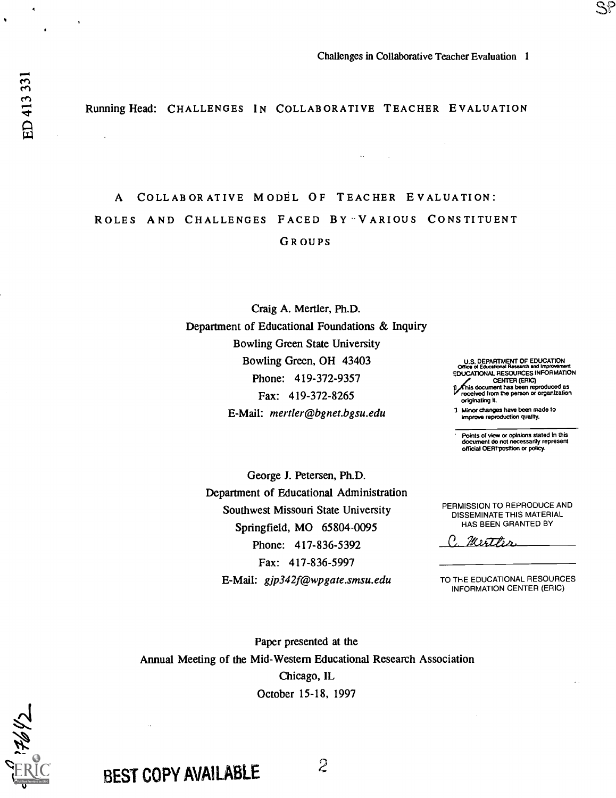Running Head: CHALLENGES IN COLLABORATIVE TEACHER EVALUATION

 $\ddotsc$ 

 $\sim 10$ 

# A COLLABORATIVE MODEL OF TEACHER EVALUATION: ROLES AND CHALLENGES FACED BY 'VARIOUS CONSTITUENT GROUPS

Craig A. Mertler, Ph.D. Department of Educational Foundations & Inquiry Bowling Green State University Bowling Green, OH 43403 Phone: 419-372-9357 Fax: 419-372-8265 E-Mail: mertler@bgnet.bgsu.edu

U.S. DEPARTMENT OF EDUCATION office of Eowationat Research end Improvement EDUCATIONAL RESOURCES INFORMATION CENTER (ERIC) phis document has been reproduced as received from the person or organization originating it.

 $\mathbb{S}^p$ 

Minot changes have been made to improve reproduction quality.

Points of view or opinions stated In this document do not necessarily represent official OEM-position or policy.

George J. Petersen, Ph.D. Department of Educational Administration Southwest Missouri State University Springfield, MO 65804-0095 Phone: 417-836-5392 Fax: 417-836-5997 E-Mail: gjp342f@wpgate.smsu.edu

PERMISSION TO REPRODUCE AND DISSEMINATE THIS MATERIAL HAS BEEN GRANTED BY

C. Merther

TO THE EDUCATIONAL RESOURCES INFORMATION CENTER (ERIC)

Paper presented at the Annual Meeting of the Mid-Western Educational Research Association Chicago, IL October 15-18, 1997



BEST COPY AVAILABLE 2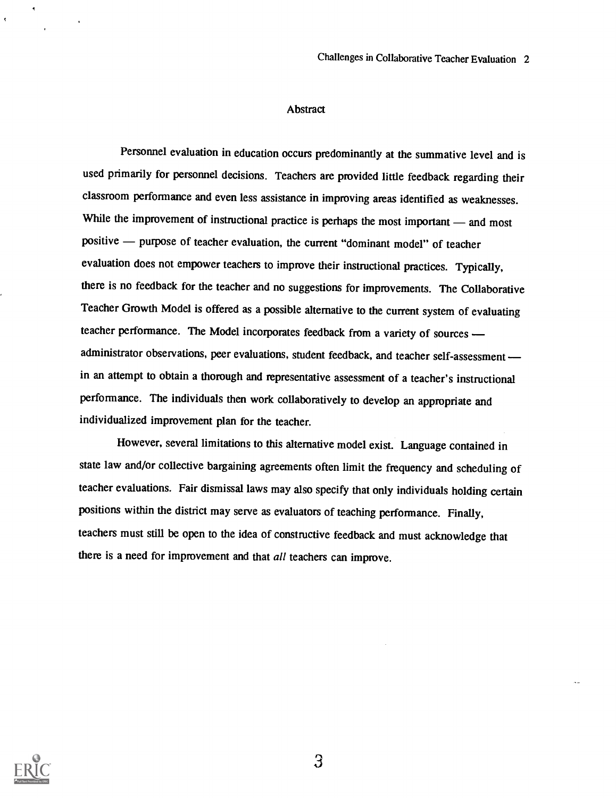#### Abstract

Personnel evaluation in education occurs predominantly at the summative level and is used primarily for personnel decisions. Teachers are provided little feedback regarding their classroom performance and even less assistance in improving areas identified as weaknesses. While the improvement of instructional practice is perhaps the most important — and most positive — purpose of teacher evaluation, the current "dominant model" of teacher evaluation does not empower teachers to improve their instructional practices. Typically, there is no feedback for the teacher and no suggestions for improvements. The Collaborative Teacher Growth Model is offered as a possible alternative to the current system of evaluating teacher performance. The Model incorporates feedback from a variety of sources administrator observations, peer evaluations, student feedback, and teacher self-assessment in an attempt to obtain a thorough and representative assessment of a teacher's instructional performance. The individuals then work collaboratively to develop an appropriate and individualized improvement plan for the teacher.

However, several limitations to this alternative model exist. Language contained in state law and/or collective bargaining agreements often limit the frequency and scheduling of teacher evaluations. Fair dismissal laws may also specify that only individuals holding certain positions within the district may serve as evaluators of teaching performance. Finally, teachers must still be open to the idea of constructive feedback and must acknowledge that there is a need for improvement and that all teachers can improve.

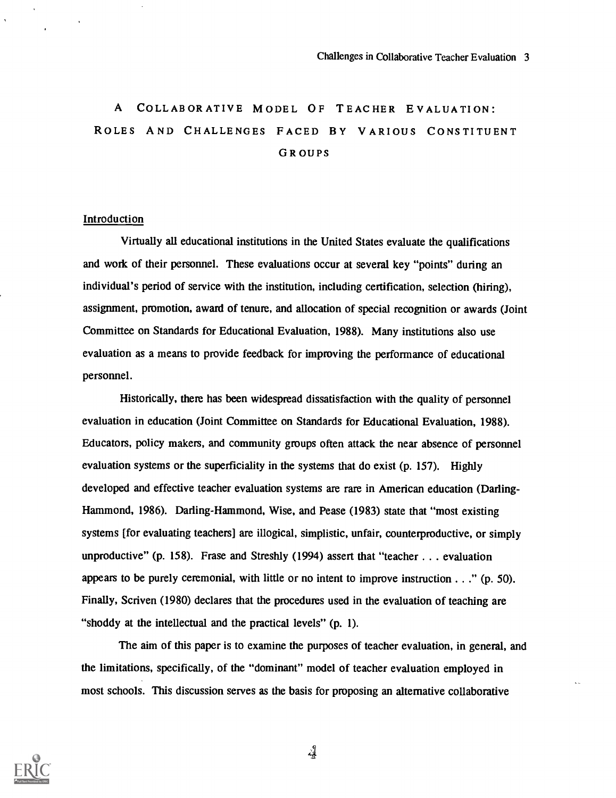## A COLLABORATIVE MODEL OF TEACHER EVALUATION: ROLES AND CHALLENGES FACED BY VARIOUS CONSTITUENT GROUPS

### Introduction

Virtually all educational institutions in the United States evaluate the qualifications and work of their personnel. These evaluations occur at several key "points" during an individual's period of service with the institution, including certification, selection (hiring), assignment, promotion, award of tenure, and allocation of special recognition or awards (Joint Committee on Standards for Educational Evaluation, 1988). Many institutions also use evaluation as a means to provide feedback for improving the performance of educational personnel.

Historically, there has been widespread dissatisfaction with the quality of personnel evaluation in education (Joint Committee on Standards for Educational Evaluation, 1988). Educators, policy makers, and community groups often attack the near absence of personnel evaluation systems or the superficiality in the systems that do exist (p. 157). Highly developed and effective teacher evaluation systems are rare in American education (Darling-Hammond, 1986). Darling-Hammond, Wise, and Pease (1983) state that "most existing systems [for evaluating teachers] are illogical, simplistic, unfair, counterproductive, or simply unproductive" (p. 158). Frase and Streshly (1994) assert that "teacher . . . evaluation appears to be purely ceremonial, with little or no intent to improve instruction . . ." (p. 50). Finally, Scriven (1980) declares that the procedures used in the evaluation of teaching are "shoddy at the intellectual and the practical levels" (p. 1).

The aim of this paper is to examine the purposes of teacher evaluation, in general, and the limitations, specifically, of the "dominant" model of teacher evaluation employed in most schools. This discussion serves as the basis for proposing an alternative collaborative



ائہ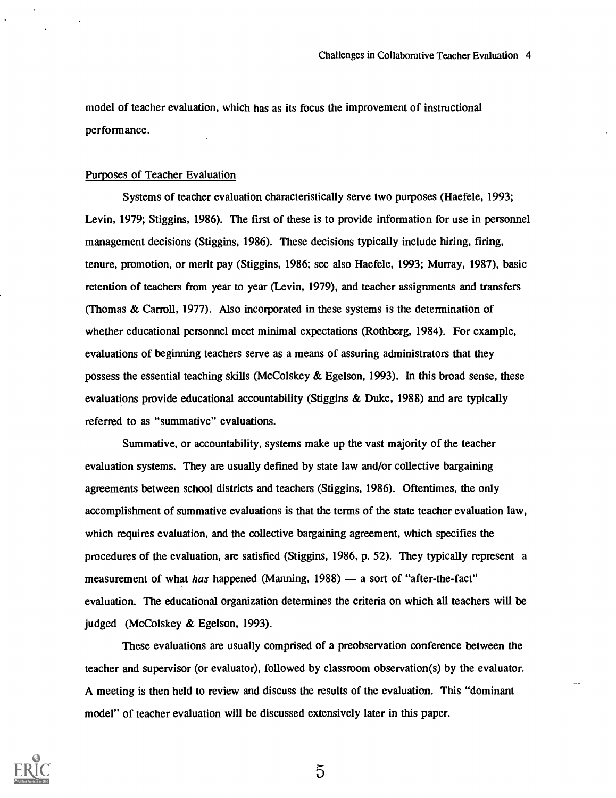model of teacher evaluation, which has as its focus the improvement of instructional performance.

#### Purposes of Teacher Evaluation

Systems of teacher evaluation characteristically serve two purposes (Haefele, 1993; Levin, 1979; Stiggins, 1986). The first of these is to provide information for use in personnel management decisions (Stiggins, 1986). These decisions typically include hiring, firing, tenure, promotion, or merit pay (Stiggins, 1986; see also Haefele, 1993; Murray, 1987), basic retention of teachers from year to year (Levin, 1979), and teacher assignments and transfers (Thomas & Carroll, 1977). Also incorporated in these systems is the determination of whether educational personnel meet minimal expectations (Rothberg, 1984). For example, evaluations of beginning teachers serve as a means of assuring administrators that they possess the essential teaching skills (McColskey & Egelson, 1993). In this broad sense, these evaluations provide educational accountability (Stiggins & Duke, 1988) and are typically referred to as "summative" evaluations.

Summative, or accountability, systems make up the vast majority of the teacher evaluation systems. They are usually defined by state law and/or collective bargaining agreements between school districts and teachers (Stiggins, 1986). Oftentimes, the only accomplishment of summative evaluations is that the terms of the state teacher evaluation law, which requires evaluation, and the collective bargaining agreement, which specifies the procedures of the evaluation, are satisfied (Stiggins, 1986, p. 52). They typically represent a measurement of what has happened (Manning, 1988) - a sort of "after-the-fact" evaluation. The educational organization determines the criteria on which all teachers will be judged (McColskey & Egelson, 1993).

These evaluations are usually comprised of a preobservation conference between the teacher and supervisor (or evaluator), followed by classroom observation(s) by the evaluator. A meeting is then held to review and discuss the results of the evaluation. This "dominant model" of teacher evaluation will be discussed extensively later in this paper.



 $\overline{5}$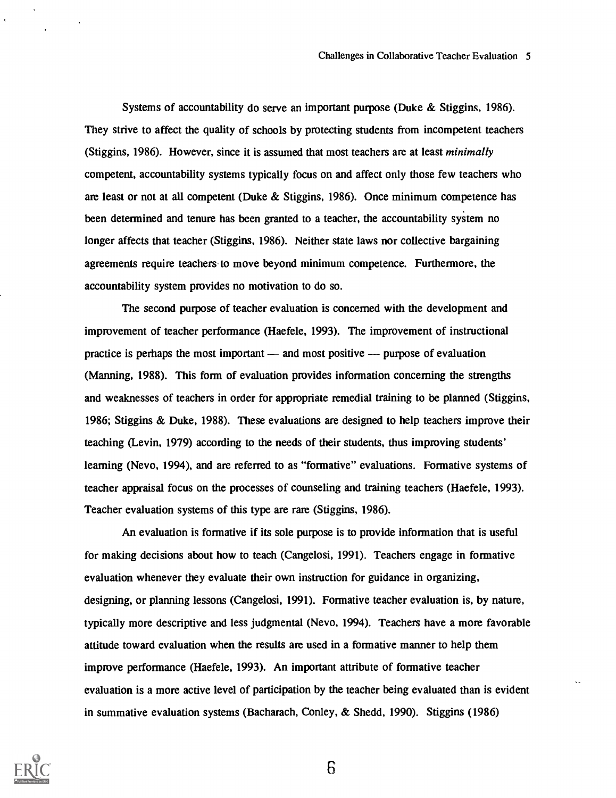Systems of accountability do serve an important purpose (Duke & Stiggins, 1986). They strive to affect the quality of schools by protecting students from incompetent teachers (Stiggins, 1986). However, since it is assumed that most teachers are at least minimally competent, accountability systems typically focus on and affect only those few teachers who are least or not at all competent (Duke & Stiggins, 1986). Once minimum competence has been determined and tenure has been granted to a teacher, the accountability system no longer affects that teacher (Stiggins, 1986). Neither state laws nor collective bargaining agreements require teachers to move beyond minimum competence. Furthermore, the accountability system provides no motivation to do so.

The second purpose of teacher evaluation is concerned with the development and improvement of teacher performance (Haefele, 1993). The improvement of instructional practice is perhaps the most important  $-$  and most positive  $-$  purpose of evaluation (Manning, 1988). This form of evaluation provides information concerning the strengths and weaknesses of teachers in order for appropriate remedial training to be planned (Stiggins, 1986; Stiggins & Duke, 1988). These evaluations are designed to help teachers improve their teaching (Levin, 1979) according to the needs of their students, thus improving students' learning (Nevo, 1994), and are referred to as "formative" evaluations. Formative systems of teacher appraisal focus on the processes of counseling and training teachers (Haefele, 1993). Teacher evaluation systems of this type are rare (Stiggins, 1986).

An evaluation is formative if its sole purpose is to provide information that is useful for making decisions about how to teach (Cangelosi, 1991). Teachers engage in formative evaluation whenever they evaluate their own instruction for guidance in organizing, designing, or planning lessons (Cangelosi, 1991). Formative teacher evaluation is, by nature, typically more descriptive and less judgmental (Nevo, 1994). Teachers have a more favorable attitude toward evaluation when the results are used in a formative manner to help them improve performance (Haefele, 1993). An important attribute of formative teacher evaluation is a more active level of participation by the teacher being evaluated than is evident in summative evaluation systems (Bacharach, Conley, & Shedd, 1990). Stiggins (1986)

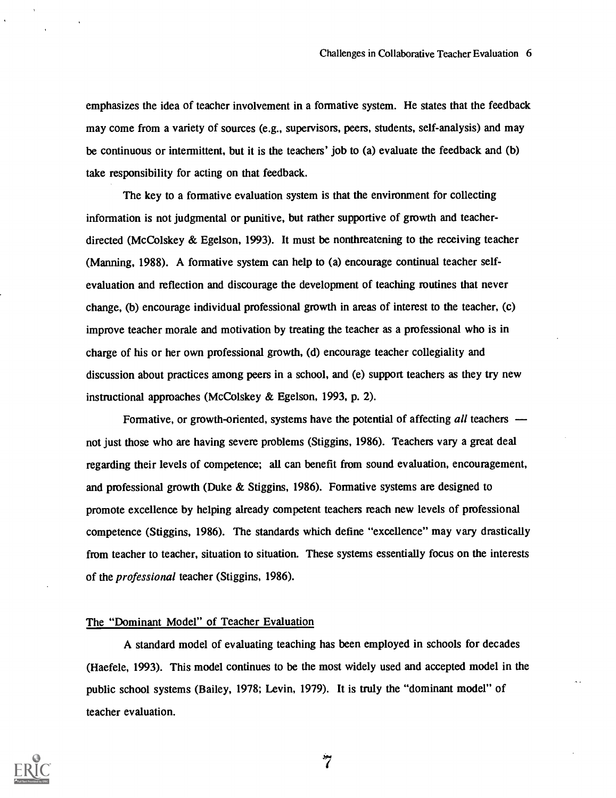emphasizes the idea of teacher involvement in a formative system. He states that the feedback may come from a variety of sources (e.g., supervisors, peers, students, self-analysis) and may be continuous or intermittent, but it is the teachers' job to (a) evaluate the feedback and (b) take responsibility for acting on that feedback.

The key to a formative evaluation system is that the environment for collecting information is not judgmental or punitive, but rather supportive of growth and teacherdirected (McColskey & Egelson, 1993). It must be nonthreatening to the receiving teacher (Manning, 1988). A formative system can help to (a) encourage continual teacher selfevaluation and reflection and discourage the development of teaching routines that never change, (b) encourage individual professional growth in areas of interest to the teacher, (c) improve teacher morale and motivation by treating the teacher as a professional who is in charge of his or her own professional growth, (d) encourage teacher collegiality and discussion about practices among peers in a school, and (e) support teachers as they try new instructional approaches (McColskey & Egelson, 1993, p. 2).

Formative, or growth-oriented, systems have the potential of affecting all teachers  $$ not just those who are having severe problems (Stiggins, 1986). Teachers vary a great deal regarding their levels of competence; all can benefit from sound evaluation, encouragement, and professional growth (Duke & Stiggins, 1986). Formative systems are designed to promote excellence by helping already competent teachers reach new levels of professional competence (Stiggins, 1986). The standards which define "excellence" may vary drastically from teacher to teacher, situation to situation. These systems essentially focus on the interests of the professional teacher (Stiggins, 1986).

### The "Dominant Model" of Teacher Evaluation

A standard model of evaluating teaching has been employed in schools for decades (Haefele, 1993). This model continues to be the most widely used and accepted model in the public school systems (Bailey, 1978; Levin, 1979). It is truly the "dominant model" of teacher evaluation.

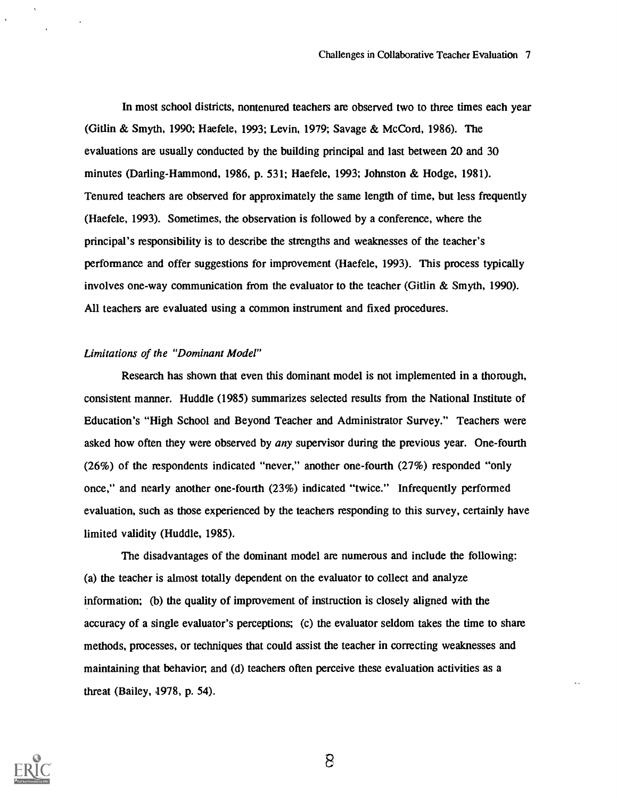In most school districts, nontenured teachers are observed two to three times each year (Gitlin & Smyth, 1990; Haefele, 1993; Levin, 1979; Savage & McCord, 1986). The evaluations are usually conducted by the building principal and last between 20 and 30 minutes (Darling-Hammond, 1986, p. 531; Haefele, 1993; Johnston & Hodge, 1981). Tenured teachers are observed for approximately the same length of time, but less frequently (Haefele, 1993). Sometimes, the observation is followed by a conference, where the principal's responsibility is to describe the strengths and weaknesses of the teacher's performance and offer suggestions for improvement (Haefele, 1993). This process typically involves one-way communication from the evaluator to the teacher (Gitlin  $&$  Smyth, 1990). All teachers are evaluated using a common instrument and fixed procedures.

### Limitations of the "Dominant Model"

Research has shown that even this dominant model is not implemented in a thorough, consistent manner. Huddle (1985) summarizes selected results from the National Institute of Education's "High School and Beyond Teacher and Administrator Survey." Teachers were asked how often they were observed by any supervisor during the previous year. One-fourth (26%) of the respondents indicated "never," another one-fourth (27%) responded "only once," and nearly another one-fourth (23%) indicated "twice." Infrequently performed evaluation, such as those experienced by the teachers responding to this survey, certainly have limited validity (Huddle, 1985).

The disadvantages of the dominant model are numerous and include the following: (a) the teacher is almost totally dependent on the evaluator to collect and analyze information; (b) the quality of improvement of instruction is closely aligned with the accuracy of a single evaluator's perceptions; (c) the evaluator seldom takes the time to share methods, processes, or techniques that could assist the teacher in correcting weaknesses and maintaining that behavior, and (d) teachers often perceive these evaluation activities as a threat (Bailey, 1978, p. 54).

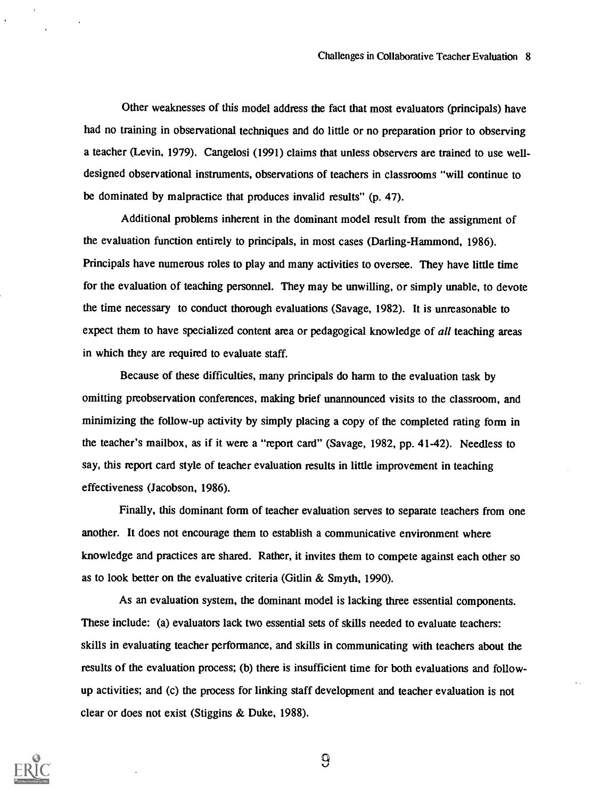Other weaknesses of this model address the fact that most evaluators (principals) have had no training in observational techniques and do little or no preparation prior to observing a teacher (Levin, 1979). Cangelosi (1991) claims that unless observers are trained to use welldesigned observational instruments, observations of teachers in classrooms "will continue to be dominated by malpractice that produces invalid results" (p. 47).

Additional problems inherent in the dominant model result from the assignment of the evaluation function entirely to principals, in most cases (Darling-Hammond, 1986). Principals have numerous roles to play and many activities to oversee. They have little time for the evaluation of teaching personnel. They may be unwilling, or simply unable, to devote the time necessary to conduct thorough evaluations (Savage, 1982). It is unreasonable to expect them to have specialized content area or pedagogical knowledge of all teaching areas in which they are required to evaluate staff.

Because of these difficulties, many principals do harm to the evaluation task by omitting preobservation conferences, making brief unannounced visits to the classroom, and minimizing the follow-up activity by simply placing a copy of the completed rating form in the teacher's mailbox, as if it were a "report card" (Savage, 1982, pp. 41-42). Needless to say, this report card style of teacher evaluation results in little improvement in teaching effectiveness (Jacobson, 1986).

Finally, this dominant form of teacher evaluation serves to separate teachers from one another. It does not encourage them to establish a communicative environment where knowledge and practices are shared. Rather, it invites them to compete against each other so as to look better on the evaluative criteria (Gitlin & Smyth, 1990).

As an evaluation system, the dominant model is lacking three essential components. These include: (a) evaluators lack two essential sets of skills needed to evaluate teachers: skills in evaluating teacher performance, and skills in communicating with teachers about the results of the evaluation process; (b) there is insufficient time for both evaluations and followup activities; and (c) the process for linking staff development and teacher evaluation is not clear or does not exist (Stiggins & Duke, 1988).

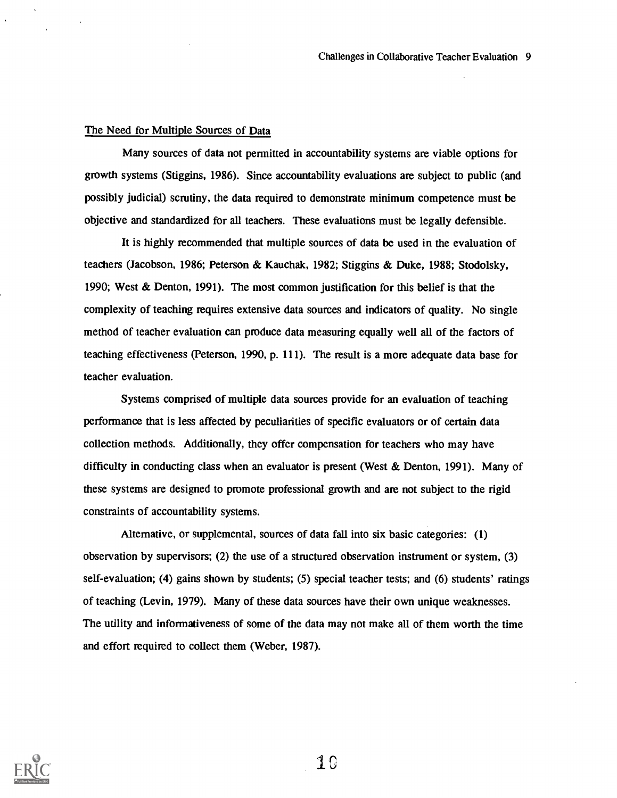#### The Need for Multiple Sources of Data

Many sources of data not permitted in accountability systems are viable options for growth systems (Stiggins, 1986). Since accountability evaluations are subject to public (and possibly judicial) scrutiny, the data required to demonstrate minimum competence must be objective and standardized for all teachers. These evaluations must be legally defensible.

It is highly recommended that multiple sources of data be used in the evaluation of teachers (Jacobson, 1986; Peterson & Kauchak, 1982; Stiggins & Duke, 1988; Stodolsky, 1990; West & Denton, 1991). The most common justification for this belief is that the complexity of teaching requires extensive data sources and indicators of quality. No single method of teacher evaluation can produce data measuring equally well all of the factors of teaching effectiveness (Peterson, 1990, p. 111). The result is a more adequate data base for teacher evaluation.

Systems comprised of multiple data sources provide for an evaluation of teaching performance that is less affected by peculiarities of specific evaluators or of certain data collection methods. Additionally, they offer compensation for teachers who may have difficulty in conducting class when an evaluator is present (West & Denton, 1991). Many of these systems are designed to promote professional growth and are not subject to the rigid constraints of accountability systems.

Alternative, or supplemental, sources of data fall into six basic categories: (1) observation by supervisors; (2) the use of a structured observation instrument or system, (3) self-evaluation; (4) gains shown by students; (5) special teacher tests; and (6) students' ratings of teaching (Levin, 1979). Many of these data sources have their own unique weaknesses. The utility and informativeness of some of the data may not make all of them worth the time and effort required to collect them (Weber, 1987).



 $1\,0$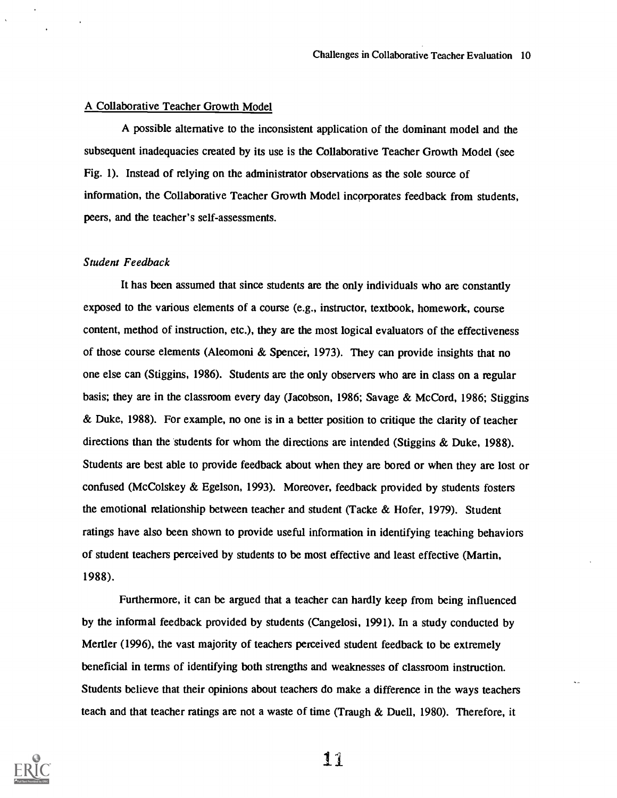#### A Collaborative Teacher Growth Model

A possible alternative to the inconsistent application of the dominant model and the subsequent inadequacies created by its use is the Collaborative Teacher Growth Model (see Fig. 1). Instead of relying on the administrator observations as the sole source of information, the Collaborative Teacher Growth Model incorporates feedback from students, peers, and the teacher's self-assessments.

#### Student Feedback

It has been assumed that since students are the only individuals who are constantly exposed to the various elements of a course (e.g., instructor, textbook, homework, course content, method of instruction, etc.), they are the most logical evaluators of the effectiveness of those course elements (Aleomoni & Spencer, 1973). They can provide insights that no one else can (Stiggins, 1986). Students are the only observers who are in class on a regular basis; they are in the classroom every day (Jacobson, 1986; Savage & McCord, 1986; Stiggins & Duke, 1988). For example, no one is in a better position to critique the clarity of teacher directions than the students for whom the directions are intended (Stiggins & Duke, 1988). Students are best able to provide feedback about when they are bored or when they are lost or confused (McColskey & Egelson, 1993). Moreover, feedback provided by students fosters the emotional relationship between teacher and student (Tacke & Hofer, 1979). Student ratings have also been shown to provide useful information in identifying teaching behaviors of student teachers perceived by students to be most effective and least effective (Martin, 1988).

Furthermore, it can be argued that a teacher can hardly keep from being influenced by the informal feedback provided by students (Cangelosi, 1991). In a study conducted by Mertler (1996), the vast majority of teachers perceived student feedback to be extremely beneficial in terms of identifying both strengths and weaknesses of classroom instruction. Students believe that their opinions about teachers do make a difference in the ways teachers teach and that teacher ratings are not a waste of time (Traugh & Duell, 1980). Therefore, it



Ii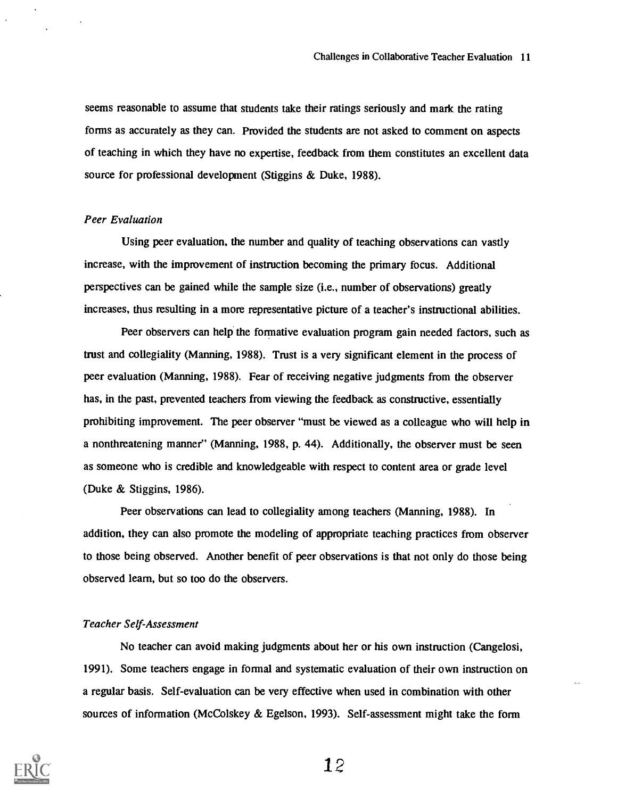seems reasonable to assume that students take their ratings seriously and mark the rating forms as accurately as they can. Provided the students are not asked to comment on aspects of teaching in which they have no expertise, feedback from them constitutes an excellent data source for professional development (Stiggins & Duke, 1988).

### Peer Evaluation

Using peer evaluation, the number and quality of teaching observations can vastly increase, with the improvement of instruction becoming the primary focus. Additional perspectives can be gained while the sample size (i.e., number of observations) greatly increases, thus resulting in a more representative picture of a teacher's instructional abilities.

Peer observers can help the formative evaluation program gain needed factors, such as trust and collegiality (Manning, 1988). Trust is a very significant element in the process of peer evaluation (Manning, 1988). Fear of receiving negative judgments from the observer has, in the past, prevented teachers from viewing the feedback as constructive, essentially prohibiting improvement. The peer observer "must be viewed as a colleague who will help in a nonthreatening manner" (Manning, 1988, p. 44). Additionally, the observer must be seen as someone who is credible and knowledgeable with respect to content area or grade level (Duke & Stiggins, 1986).

Peer observations can lead to collegiality among teachers (Manning, 1988). In addition, they can also promote the modeling of appropriate teaching practices from observer to those being observed. Another benefit of peer observations is that not only do those being observed learn, but so too do the observers.

#### Teacher Self-Assessment

No teacher can avoid making judgments about her or his own instruction (Cangelosi, 1991). Some teachers engage in formal and systematic evaluation of their own instruction on a regular basis. Self-evaluation can be very effective when used in combination with other sources of information (McColskey  $\&$  Egelson, 1993). Self-assessment might take the form

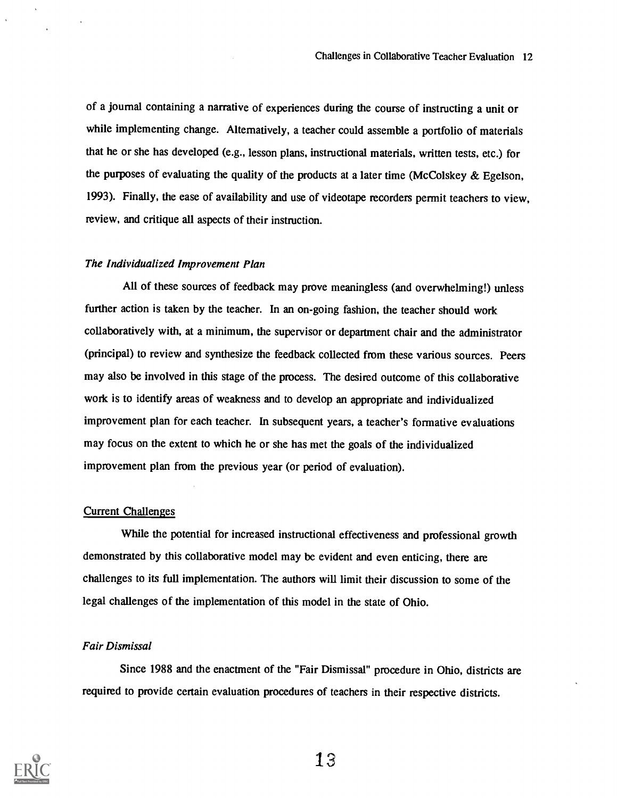of a journal containing a narrative of experiences during the course of instructing a unit or while implementing change. Alternatively, a teacher could assemble a portfolio of materials that he or she has developed (e.g., lesson plans, instructional materials, written tests, etc.) for the purposes of evaluating the quality of the products at a later time (McColskey & Egelson, 1993). Finally, the ease of availability and use of videotape recorders permit teachers to view, review, and critique all aspects of their instruction.

#### The Individualized Improvement Plan

All of these sources of feedback may prove meaningless (and overwhelming!) unless further action is taken by the teacher. In an on-going fashion, the teacher should work collaboratively with, at a minimum, the supervisor or department chair and the administrator (principal) to review and synthesize the feedback collected from these various sources. Peers may also be involved in this stage of the process. The desired outcome of this collaborative work is to identify areas of weakness and to develop an appropriate and individualized improvement plan for each teacher. In subsequent years, a teacher's formative evaluations may focus on the extent to which he or she has met the goals of the individualized improvement plan from the previous year (or period of evaluation).

### Current Challenges

While the potential for increased instructional effectiveness and professional growth demonstrated by this collaborative model may be evident and even enticing, there are challenges to its full implementation. The authors will limit their discussion to some of the legal challenges of the implementation of this model in the state of Ohio.

#### Fair Dismissal

Since 1988 and the enactment of the "Fair Dismissal" procedure in Ohio, districts are required to provide certain evaluation procedures of teachers in their respective districts.

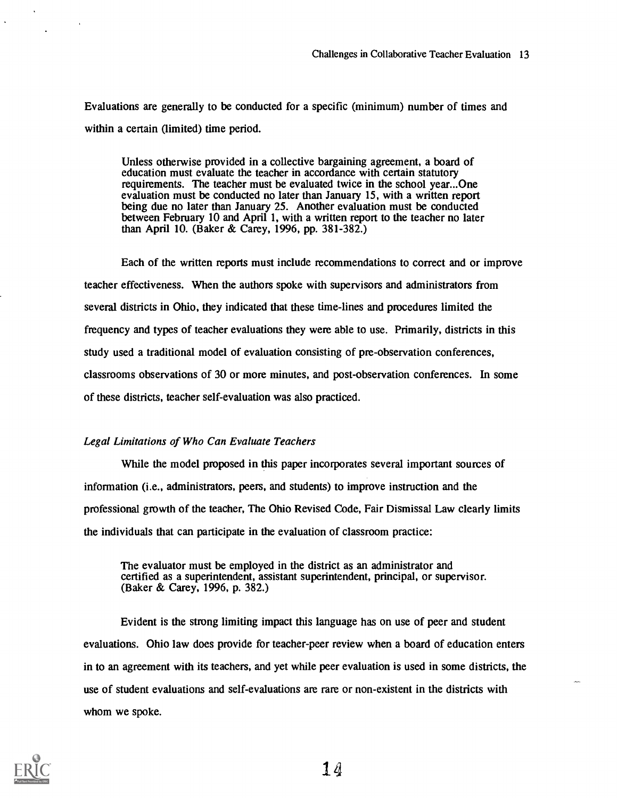Evaluations are generally to be conducted for a specific (minimum) number of times and within a certain (limited) time period.

Unless otherwise provided in a collective bargaining agreement, a board of education must evaluate the teacher in accordance with certain statutory requirements. The teacher must be evaluated twice in the school year...One evaluation must be conducted no later than January 15, with a written report being due no later than January 25. Another evaluation must be conducted between February 10 and April 1, with a written report to the teacher no later than April 10. (Baker & Carey, 1996, pp. 381-382.)

Each of the written reports must include recommendations to correct and or improve teacher effectiveness. When the authors spoke with supervisors and administrators from several districts in Ohio, they indicated that these time-lines and procedures limited the frequency and types of teacher evaluations they were able to use. Primarily, districts in this study used a traditional model of evaluation consisting of pre-observation conferences, classrooms observations of 30 or more minutes, and post-observation conferences. In some of these districts, teacher self-evaluation was also practiced.

### Legal Limitations of Who Can Evaluate Teachers

While the model proposed in this paper incorporates several important sources of information (i.e., administrators, peers, and students) to improve instruction and the professional growth of the teacher, The Ohio Revised Code, Fair Dismissal Law clearly limits the individuals that can participate in the evaluation of classroom practice:

The evaluator must be employed in the district as an administrator and certified as a superintendent, assistant superintendent, principal, or supervisor. (Baker & Carey, 1996, p. 382.)

Evident is the strong limiting impact this language has on use of peer and student evaluations. Ohio law does provide for teacher-peer review when a board of education enters in to an agreement with its teachers, and yet while peer evaluation is used in some districts, the use of student evaluations and self-evaluations are rare or non-existent in the districts with whom we spoke.



 $1<sub>d</sub>$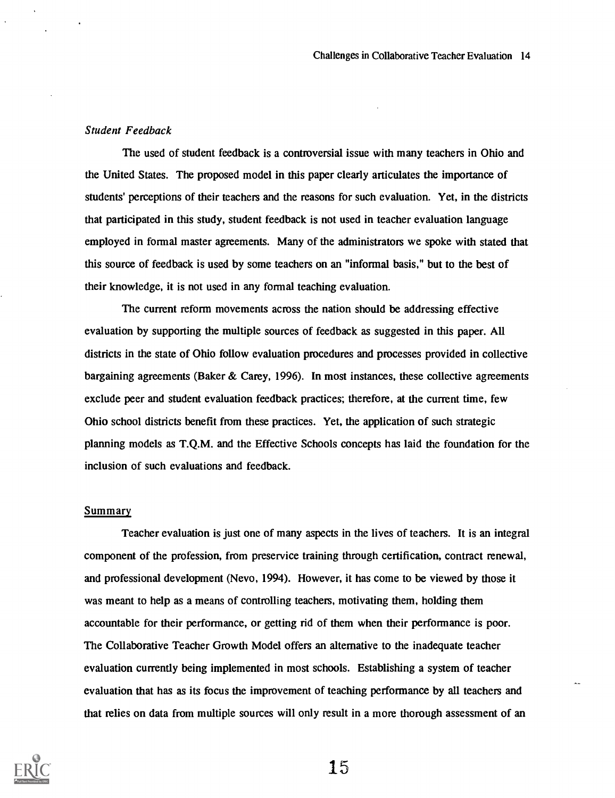#### Student Feedback

The used of student feedback is a controversial issue with many teachers in Ohio and the United States. The proposed model in this paper clearly articulates the importance of students' perceptions of their teachers and the reasons for such evaluation. Yet, in the districts that participated in this study, student feedback is not used in teacher evaluation language employed in formal master agreements. Many of the administrators we spoke with stated that this source of feedback is used by some teachers on an "informal basis," but to the best of their knowledge, it is not used in any formal teaching evaluation.

The current reform movements across the nation should be addressing effective evaluation by supporting the multiple sources of feedback as suggested in this paper. All districts in the state of Ohio follow evaluation procedures and processes provided in collective bargaining agreements (Baker & Carey, 1996). In most instances, these collective agreements exclude peer and student evaluation feedback practices; therefore, at the current time, few Ohio school districts benefit from these practices. Yet, the application of such strategic planning models as T.Q.M. and the Effective Schools concepts has laid the foundation for the inclusion of such evaluations and feedback.

#### Summary

Teacher evaluation is just one of many aspects in the lives of teachers. It is an integral component of the profession, from preservice training through certification, contract renewal, and professional development (Nevo, 1994). However, it has come to be viewed by those it was meant to help as a means of controlling teachers, motivating them, holding them accountable for their performance, or getting rid of them when their performance is poor. The Collaborative Teacher Growth Model offers an alternative to the inadequate teacher evaluation currently being implemented in most schools. Establishing a system of teacher evaluation that has as its focus the improvement of teaching performance by all teachers and that relies on data from multiple sources will only result in a more thorough assessment of an

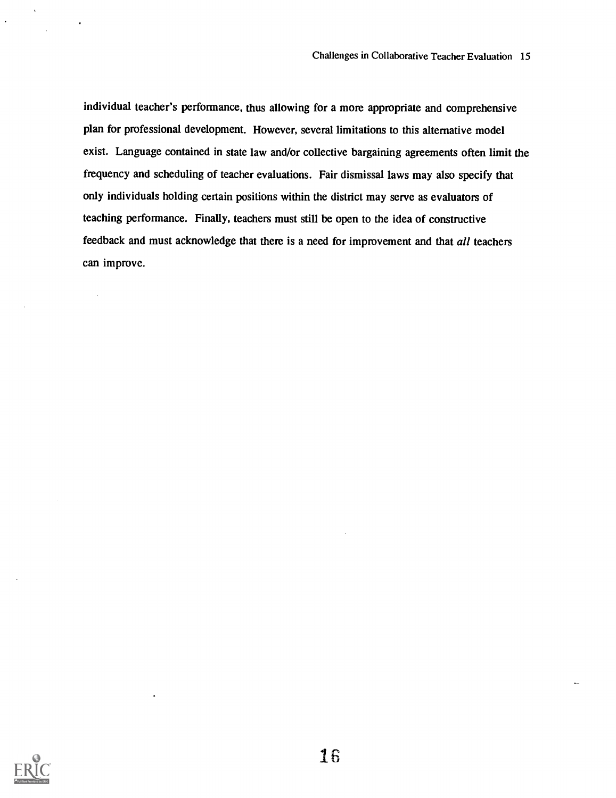individual teacher's performance, thus allowing for a more appropriate and comprehensive plan for professional development. However, several limitations to this alternative model exist. Language contained in state law and/or collective bargaining agreements often limit the frequency and scheduling of teacher evaluations. Fair dismissal laws may also specify that only individuals holding certain positions within the district may serve as evaluators of teaching performance. Finally, teachers must still be open to the idea of constructive feedback and must acknowledge that there is a need for improvement and that all teachers can improve.

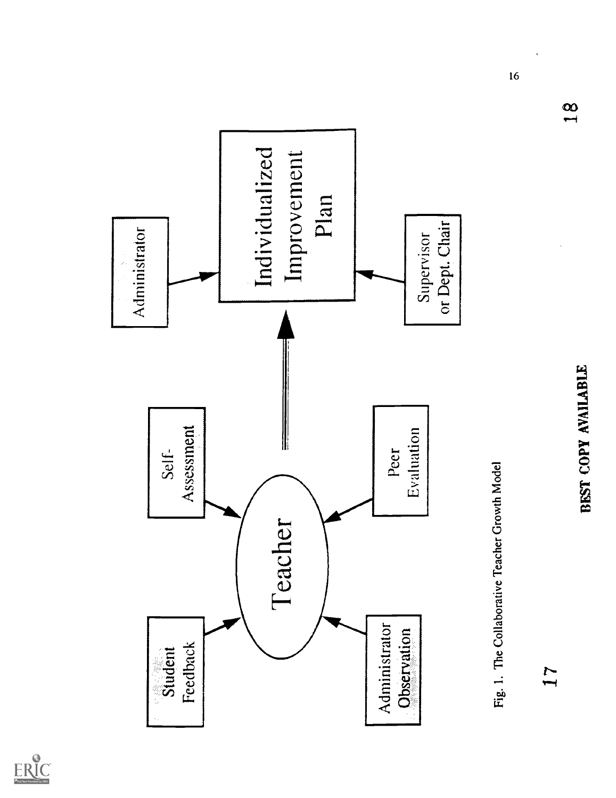

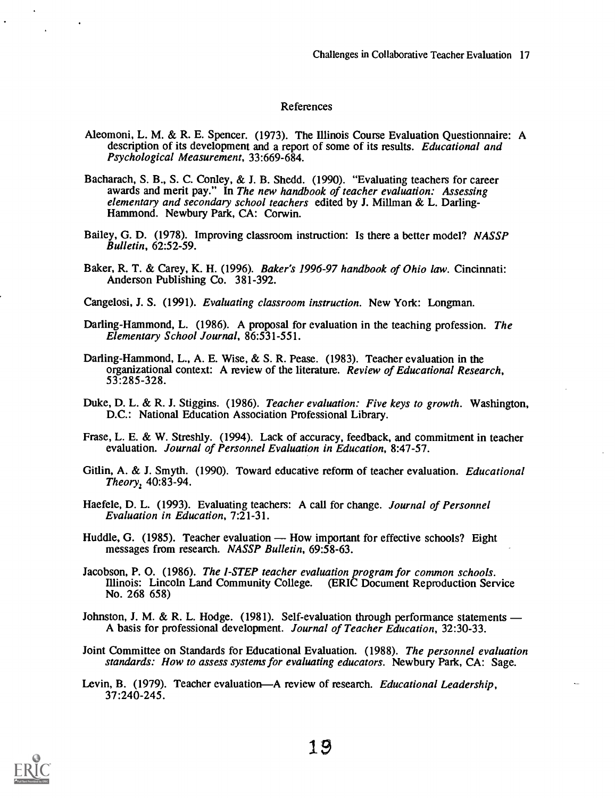#### References

- Aleomoni, L. M. & R. E. Spencer. (1973). The Illinois Course Evaluation Questionnaire: A description of its development and a report of some of its results. Educational and Psychological Measurement, 33:669-684.
- Bacharach, S. B., S. C. Conley, & J. B. Shedd. (1990). "Evaluating teachers for career awards and merit pay." In The new handbook of teacher evaluation: Assessing elementary and secondary school teachers edited by J. Millman & L. Darling-Hammond. Newbury Park, CA: Corwin.
- Bailey, G. D. (1978). Improving classroom instruction: Is there a better model? NASSP Bulletin, 62:52-59.
- Baker, R. T. & Carey, K. H. (1996). Baker's 1996-97 handbook of Ohio law. Cincinnati: Anderson Publishing Co. 381-392.
- Cangelosi, J. S. (1991). Evaluating classroom instruction. New York: Longman.
- Darling-Hammond, L. (1986). A proposal for evaluation in the teaching profession. The Elementary School Journal, 86:531-551.
- Darling-Hammond, L., A. E. Wise, & S. R. Pease. (1983). Teacher evaluation in the organizational context: A review of the literature. Review of Educational Research, 53:285-328.
- Duke, D. L. & R. J. Stiggins. (1986). Teacher evaluation: Five keys to growth. Washington, D.C.: National Education Association Professional Library.
- Frase, L. E. & W. Streshly. (1994). Lack of accuracy, feedback, and commitment in teacher evaluation. Journal of Personnel Evaluation in Education, 8:47-57.
- Gitlin, A. & J. Smyth. (1990). Toward educative reform of teacher evaluation. *Educational* Theory, 40:83-94.
- Haefele, D. L. (1993). Evaluating teachers: A call for change. Journal of Personnel Evaluation in Education, 7:21-31.
- Huddle, G. (1985). Teacher evaluation How important for effective schools? Eight messages from research. NASSP Bulletin, 69:58-63.
- Jacobson, P. O. (1986). The I-STEP teacher evaluation program for common schools. Illinois: Lincoln Land Community College. (ERIC Document Reproduction Service No. 268 658)
- Johnston, J. M. & R. L. Hodge.  $(1981)$ . Self-evaluation through performance statements A basis for professional development. Journal of Teacher Education, 32:30-33.
- Joint Committee on Standards for Educational Evaluation. (1988). The personnel evaluation standards: How to assess systems for evaluating educators. Newbury Park, CA: Sage.
- Levin, B. (1979). Teacher evaluation—A review of research. *Educational Leadership*, 37:240-245.

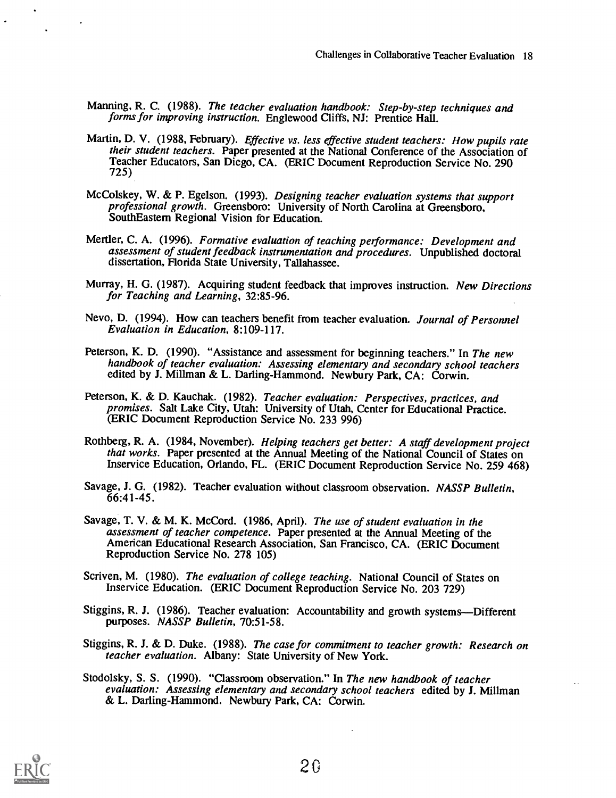- Manning, R. C. (1988). The teacher evaluation handbook: Step-by-step techniques and forms for improving instruction. Englewood Cliffs, NJ: Prentice Hall.
- Martin, D. V. (1988, February). Effective vs. less effective student teachers: How pupils rate their student teachers. Paper presented at the National Conference of the Association of Teacher Educators, San Diego, CA. (ERIC Document Reproduction Service No. 290 725)
- McColskey, W. & P. Egelson. (1993). Designing teacher evaluation systems that support professional growth. Greensboro: University of North Carolina at Greensboro. SouthEastem Regional Vision for Education.
- Mertler, C. A. (1996). Formative evaluation of teaching performance: Development and assessment of student feedback instrumentation and procedures. Unpublished doctoral dissertation, Florida State University, Tallahassee.
- Murray, H. G. (1987). Acquiring student feedback that improves instruction. New Directions for Teaching and Learning, 32:85-96.
- Nevo, D. (1994). How can teachers benefit from teacher evaluation. Journal of Personnel Evaluation in Education, 8:109-117.
- Peterson, K. D. (1990). "Assistance and assessment for beginning teachers." In The new handbook of teacher evaluation: Assessing elementary and secondary school teachers edited by J. Millman & L. Darling-Hammond. Newbury Park, CA: Corwin.
- Peterson, K. & D. Kauchak. (1982). Teacher evaluation: Perspectives, practices, and promises. Salt Lake City, Utah: University of Utah, Center for Educational Practice. (ERIC Document Reproduction Service No. 233 996)
- Rothberg, R. A. (1984, November). Helping teachers get better: A staff development project that works. Paper presented at the Annual Meeting of the National Council of States on Inservice Education, Orlando, FL. (ERIC Document Reproduction Service No. 259 468)
- Savage, J. G. (1982). Teacher evaluation without classroom observation. NASSP Bulletin, 66:41-45.
- Savage, T. V. & M. K. McCord. (1986, April). The use of student evaluation in the assessment of teacher competence. Paper presented at the Annual Meeting of the American Educational Research Association, San Francisco, CA. (ERIC Document Reproduction Service No. 278 105)
- Scriven, M. (1980). The evaluation of college teaching. National Council of States on Inservice Education. (ERIC Document Reproduction Service No. 203 729)
- Stiggins, R. J. (1986). Teacher evaluation: Accountability and growth systems—Different purposes. NASSP Bulletin, 70:51-58.
- Stiggins, R. J. & D. Duke. (1988). The case for commitment to teacher growth: Research on teacher evaluation. Albany: State University of New York.
- Stodolsky, S. S. (1990). "Classroom observation." In The new handbook of teacher evaluation: Assessing elementary and secondary school teachers edited by J. Millman & L. Darling-Hammond. Newbury Park, CA: Corwin.

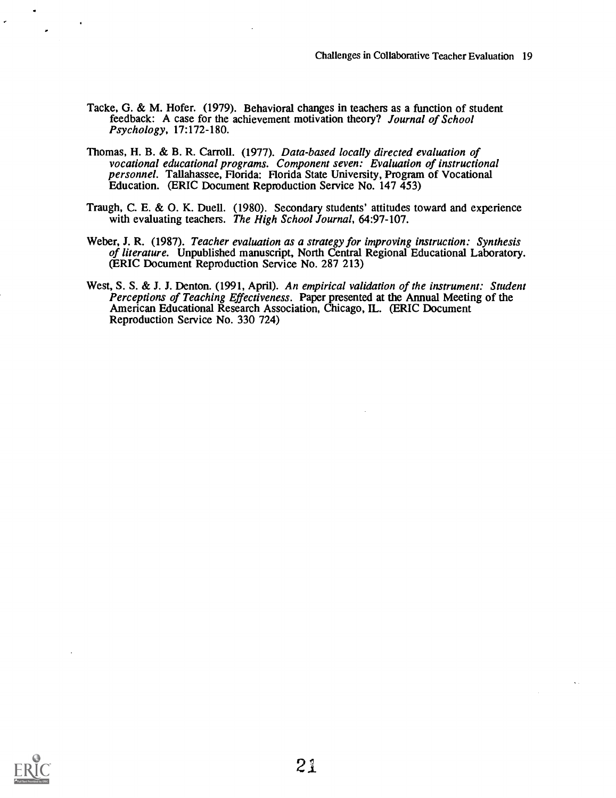- Tacke, G. & M. Hofer. (1979). Behavioral changes in teachers as a function of student feedback: A case for the achievement motivation theory? Journal of School Psychology, 17:172-180.
- Thomas, H. B. & B. R. Carroll. (1977). Data-based locally directed evaluation of vocational educational programs. Component seven: Evaluation of instructional personnel. Tallahassee, Florida: Florida State University, Program of Vocational Education. (ERIC Document Reproduction Service No. 147 453)
- Traugh, C. E. & 0. K. Duell. (1980). Secondary students' attitudes toward and experience with evaluating teachers. The High School Journal, 64:97-107.
- Weber, J. R. (1987). Teacher evaluation as a strategy for improving instruction: Synthesis of literature. Unpublished manuscript, North Central Regional Educational Laboratory. (ERIC Document Reproduction Service No. 287 213)
- West, S. S. & J. J. Denton. (1991, April). An empirical validation of the instrument: Student Perceptions of Teaching Effectiveness. Paper presented at the Annual Meeting of the American Educational Research Association, Chicago, IL. (ERIC Document Reproduction Service No. 330 724)

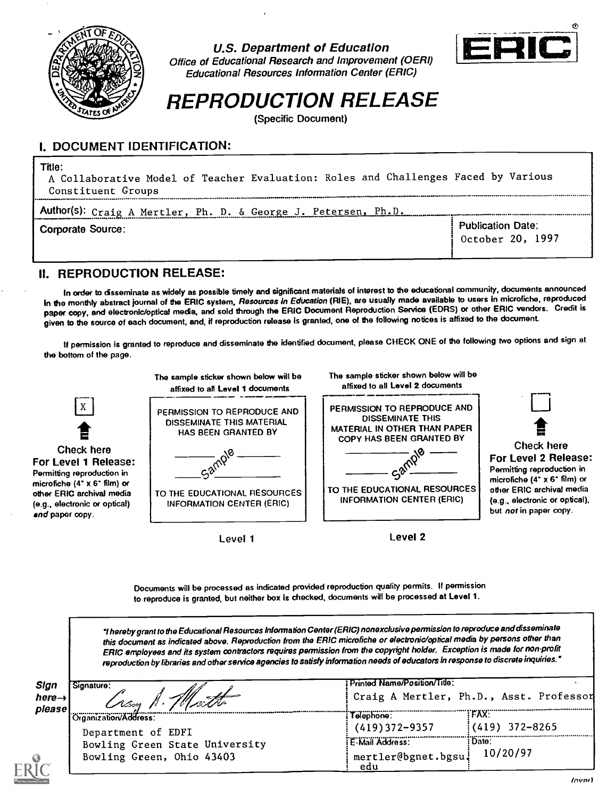

U.S. Department of Education





REPRODUCTION RELEASE

(Specific Document)

## I. DOCUMENT IDENTIFICATION:

#### Title:

A Collaborative Model of Teacher Evaluation: Roles and Challenges Faced by Various Constituent Groups

| Author(s): Craig A Mertler, Ph. D. & George J. Petersen,<br>Ph.D. |                                              |
|-------------------------------------------------------------------|----------------------------------------------|
| Corporate Source:                                                 | <b>Publication Date:</b><br>October 20, 1997 |

### H. REPRODUCTION RELEASE:

In order to disseminate as widely as possible timely and significant materials of interest to the educational community, documents announced in the monthly abstract journal of the ERIC system, Resources in Education (RIE), are usually made available to users in microfiche, reproduced paper copy, and electronic/optical media, and sold through the ERIC Document Reproduction Service (EDRS) or other ERIC vendors. Credit is given to the source of each document, and, if reproduction release is granted, one of the following notices is affixed to the document.

If permission is granted to reproduce and disseminate the identified document, please CHECK ONE of the following two options and sign at the bottom of the page.



Level 1

Documents will be processed as indicated provided reproduction quality permits. If permission to reproduce is granted, but neither box is checked, documents will be processed at Level 1.

hereby grant to the Educational Resources Information Center(ERIC) nonexclusive permission to reproduce and disseminate this document as indicated above. Reproduction from the ERIC microfiche or electronic/optical media by persons other than ERIC employees and its system contractors requires permission from the copyright holder. Exception is made for non-profit reproduction by libraries and other service agencies to satisfy information needs of educators In response todiscrete inquiries.'

| Sign<br>Signature:<br>here $\rightarrow$<br>· Ation.<br>please | Printed Name/Position/Title:<br>Craig A Mertler, Ph.D., Asst. Professon |                                 |  |  |
|----------------------------------------------------------------|-------------------------------------------------------------------------|---------------------------------|--|--|
| Organization/Address:                                          | I elephone :                                                            | <b>FAX:</b><br>$(419)$ 372-8265 |  |  |
| Department of EDFI<br>Bowling Green State University           | $(419)372 - 9357$<br>E-Mail Address:                                    | : Date:                         |  |  |
| Bowling Green, Ohio 43403                                      | mertler@bgnet.bgsu.<br>edu                                              | 10/20/97                        |  |  |